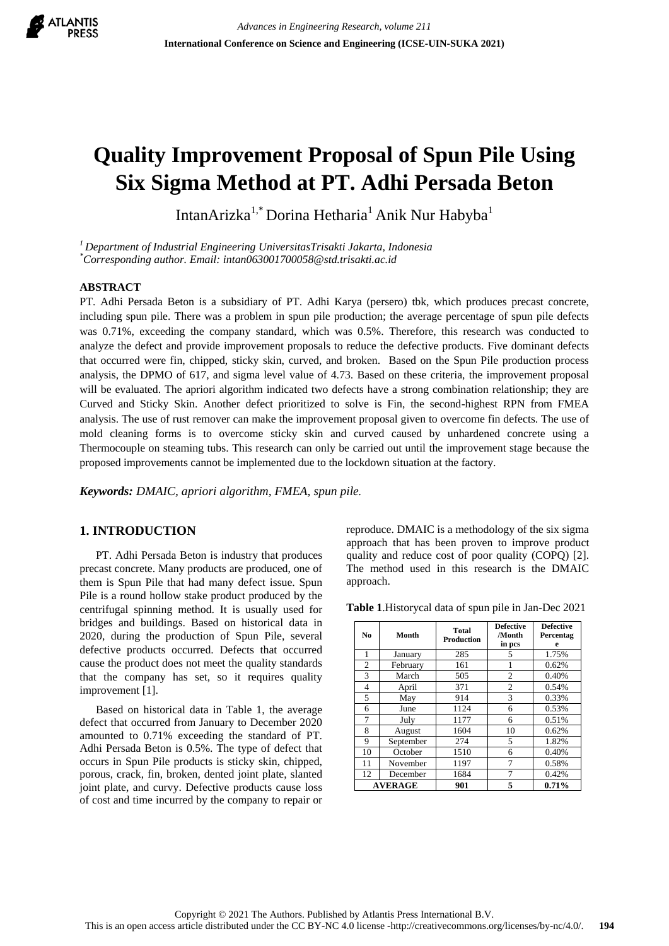

# **Quality Improvement Proposal of Spun Pile Using Six Sigma Method at PT. Adhi Persada Beton**

IntanArizka<sup>1,\*</sup> Dorina Hetharia<sup>1</sup> Anik Nur Habyba<sup>1</sup>

*<sup>1</sup>Department of Industrial Engineering UniversitasTrisakti Jakarta, Indonesia \*Corresponding author. Email: intan063001700058@std.trisakti.ac.id*

## **ABSTRACT**

PT. Adhi Persada Beton is a subsidiary of PT. Adhi Karya (persero) tbk, which produces precast concrete, including spun pile. There was a problem in spun pile production; the average percentage of spun pile defects was 0.71%, exceeding the company standard, which was 0.5%. Therefore, this research was conducted to analyze the defect and provide improvement proposals to reduce the defective products. Five dominant defects that occurred were fin, chipped, sticky skin, curved, and broken. Based on the Spun Pile production process analysis, the DPMO of 617, and sigma level value of 4.73. Based on these criteria, the improvement proposal will be evaluated. The apriori algorithm indicated two defects have a strong combination relationship; they are Curved and Sticky Skin. Another defect prioritized to solve is Fin, the second-highest RPN from FMEA analysis. The use of rust remover can make the improvement proposal given to overcome fin defects. The use of mold cleaning forms is to overcome sticky skin and curved caused by unhardened concrete using a Thermocouple on steaming tubs. This research can only be carried out until the improvement stage because the proposed improvements cannot be implemented due to the lockdown situation at the factory.

*Keywords: DMAIC, apriori algorithm, FMEA, spun pile.*

## **1. INTRODUCTION**

PT. Adhi Persada Beton is industry that produces precast concrete. Many products are produced, one of them is Spun Pile that had many defect issue. Spun Pile is a round hollow stake product produced by the centrifugal spinning method. It is usually used for bridges and buildings. Based on historical data in 2020, during the production of Spun Pile, several defective products occurred. Defects that occurred cause the product does not meet the quality standards that the company has set, so it requires quality improvement [1].

Based on historical data in Table 1, the average defect that occurred from January to December 2020 amounted to 0.71% exceeding the standard of PT. Adhi Persada Beton is 0.5%. The type of defect that occurs in Spun Pile products is sticky skin, chipped, porous, crack, fin, broken, dented joint plate, slanted joint plate, and curvy. Defective products cause loss of cost and time incurred by the company to repair or reproduce. DMAIC is a methodology of the six sigma approach that has been proven to improve product quality and reduce cost of poor quality (COPQ) [2]. The method used in this research is the DMAIC approach.

**Table 1**.Historycal data of spun pile in Jan-Dec 2021

| No | Month          | <b>Total</b><br><b>Production</b> | <b>Defective</b><br>/Month<br>in pcs | <b>Defective</b><br>Percentag<br>e |  |
|----|----------------|-----------------------------------|--------------------------------------|------------------------------------|--|
| 1  | January        | 285                               | 5                                    | 1.75%                              |  |
| 2  | February       | 161                               |                                      | 0.62%                              |  |
| 3  | March          | 505                               | 2                                    | 0.40%                              |  |
| 4  | April          | 371                               | 2                                    | 0.54%                              |  |
| 5  | May            | 914                               | 3                                    | 0.33%                              |  |
| 6  | June           | 1124                              | 6                                    | 0.53%                              |  |
| 7  | July           | 1177                              | 6                                    | 0.51%                              |  |
| 8  | August         | 1604                              | 10                                   | 0.62%                              |  |
| 9  | September      | 274                               | 5                                    | 1.82%                              |  |
| 10 | October        | 1510                              | 6                                    | 0.40%                              |  |
| 11 | November       | 1197                              | 7                                    | 0.58%                              |  |
| 12 | December       | 1684                              | 7                                    | 0.42%                              |  |
|    | <b>AVERAGE</b> | 901                               | 5                                    | 0.71%                              |  |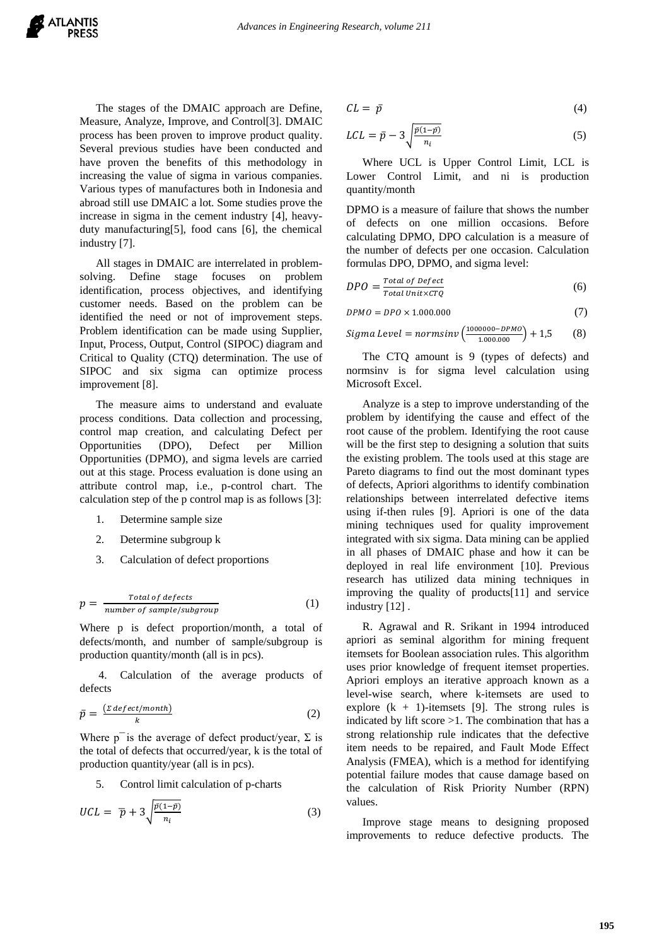The stages of the DMAIC approach are Define, Measure, Analyze, Improve, and Control[3]. DMAIC process has been proven to improve product quality. Several previous studies have been conducted and have proven the benefits of this methodology in increasing the value of sigma in various companies. Various types of manufactures both in Indonesia and abroad still use DMAIC a lot. Some studies prove the increase in sigma in the cement industry [4], heavyduty manufacturing[5], food cans [6], the chemical industry [7].

All stages in DMAIC are interrelated in problemsolving. Define stage focuses on problem identification, process objectives, and identifying customer needs. Based on the problem can be identified the need or not of improvement steps. Problem identification can be made using Supplier, Input, Process, Output, Control (SIPOC) diagram and Critical to Quality (CTQ) determination. The use of SIPOC and six sigma can optimize process improvement [8].

The measure aims to understand and evaluate process conditions. Data collection and processing, control map creation, and calculating Defect per Opportunities (DPO), Defect per Million Opportunities (DPMO), and sigma levels are carried out at this stage. Process evaluation is done using an attribute control map, i.e., p-control chart. The calculation step of the p control map is as follows [3]:

- 1. Determine sample size
- 2. Determine subgroup k
- 3. Calculation of defect proportions

$$
p = \frac{Total \ of \ defects}{number \ of \ sample/subgroup} \tag{1}
$$

Where p is defect proportion/month, a total of defects/month, and number of sample/subgroup is production quantity/month (all is in pcs).

4. Calculation of the average products of defects

$$
\bar{p} = \frac{(z \text{ defect/month})}{k} \tag{2}
$$

Where  $p^{-}$  is the average of defect product/year,  $\Sigma$  is the total of defects that occurred/year, k is the total of production quantity/year (all is in pcs).

5. Control limit calculation of p-charts

$$
UCL = \overline{p} + 3\sqrt{\frac{\bar{p}(1-\bar{p})}{n_i}}\tag{3}
$$

$$
CL = \bar{p} \tag{4}
$$

$$
LCL = \bar{p} - 3\sqrt{\frac{\bar{p}(1-\bar{p})}{n_i}}\tag{5}
$$

Where UCL is Upper Control Limit, LCL is Lower Control Limit, and ni is production quantity/month

DPMO is a measure of failure that shows the number of defects on one million occasions. Before calculating DPMO, DPO calculation is a measure of the number of defects per one occasion. Calculation formulas DPO, DPMO, and sigma level:

$$
DPO = \frac{Total\ of\ Defect}{Total\ Unit \times CTQ} \tag{6}
$$

$$
DPMO = DPO \times 1.000.000 \tag{7}
$$

$$
Sigma \text{ level} = norm \sin \nu \left( \frac{1000000 - DPMO}{1.000.000} \right) + 1.5 \tag{8}
$$

The CTQ amount is 9 (types of defects) and normsinv is for sigma level calculation using Microsoft Excel.

Analyze is a step to improve understanding of the problem by identifying the cause and effect of the root cause of the problem. Identifying the root cause will be the first step to designing a solution that suits the existing problem. The tools used at this stage are Pareto diagrams to find out the most dominant types of defects, Apriori algorithms to identify combination relationships between interrelated defective items using if-then rules [9]. Apriori is one of the data mining techniques used for quality improvement integrated with six sigma. Data mining can be applied in all phases of DMAIC phase and how it can be deployed in real life environment [10]. Previous research has utilized data mining techniques in improving the quality of products[11] and service industry [12] .

R. Agrawal and R. Srikant in 1994 introduced apriori as seminal algorithm for mining frequent itemsets for Boolean association rules. This algorithm uses prior knowledge of frequent itemset properties. Apriori employs an iterative approach known as a level-wise search, where k-itemsets are used to explore  $(k + 1)$ -itemsets [9]. The strong rules is indicated by lift score >1. The combination that has a strong relationship rule indicates that the defective item needs to be repaired, and Fault Mode Effect Analysis (FMEA), which is a method for identifying potential failure modes that cause damage based on the calculation of Risk Priority Number (RPN) values.

Improve stage means to designing proposed improvements to reduce defective products. The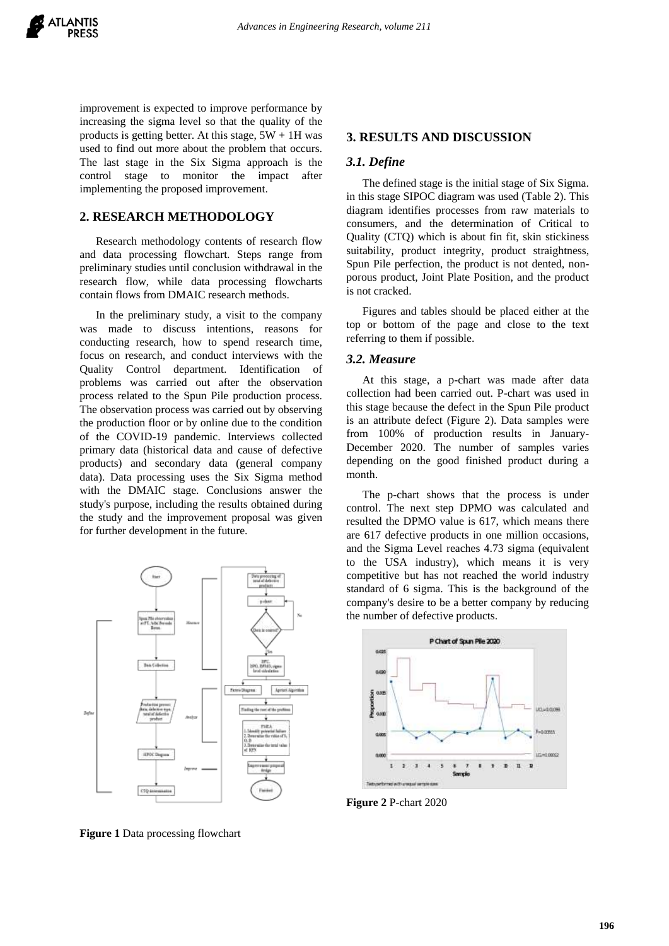

improvement is expected to improve performance by increasing the sigma level so that the quality of the products is getting better. At this stage,  $5W + 1H$  was used to find out more about the problem that occurs. The last stage in the Six Sigma approach is the control stage to monitor the impact after implementing the proposed improvement.

## **2. RESEARCH METHODOLOGY**

Research methodology contents of research flow and data processing flowchart. Steps range from preliminary studies until conclusion withdrawal in the research flow, while data processing flowcharts contain flows from DMAIC research methods.

In the preliminary study, a visit to the company was made to discuss intentions, reasons for conducting research, how to spend research time, focus on research, and conduct interviews with the Quality Control department. Identification of problems was carried out after the observation process related to the Spun Pile production process. The observation process was carried out by observing the production floor or by online due to the condition of the COVID-19 pandemic. Interviews collected primary data (historical data and cause of defective products) and secondary data (general company data). Data processing uses the Six Sigma method with the DMAIC stage. Conclusions answer the study's purpose, including the results obtained during the study and the improvement proposal was given for further development in the future.



**Figure 1** Data processing flowchart

## **3. RESULTS AND DISCUSSION**

## *3.1. Define*

The defined stage is the initial stage of Six Sigma. in this stage SIPOC diagram was used (Table 2). This diagram identifies processes from raw materials to consumers, and the determination of Critical to Quality (CTQ) which is about fin fit, skin stickiness suitability, product integrity, product straightness, Spun Pile perfection, the product is not dented, nonporous product, Joint Plate Position, and the product is not cracked.

Figures and tables should be placed either at the top or bottom of the page and close to the text referring to them if possible.

#### *3.2. Measure*

At this stage, a p-chart was made after data collection had been carried out. P-chart was used in this stage because the defect in the Spun Pile product is an attribute defect (Figure 2). Data samples were from 100% of production results in January-December 2020. The number of samples varies depending on the good finished product during a month.

The p-chart shows that the process is under control. The next step DPMO was calculated and resulted the DPMO value is 617, which means there are 617 defective products in one million occasions, and the Sigma Level reaches 4.73 sigma (equivalent to the USA industry), which means it is very competitive but has not reached the world industry standard of 6 sigma. This is the background of the company's desire to be a better company by reducing the number of defective products.



**Figure 2** P-chart 2020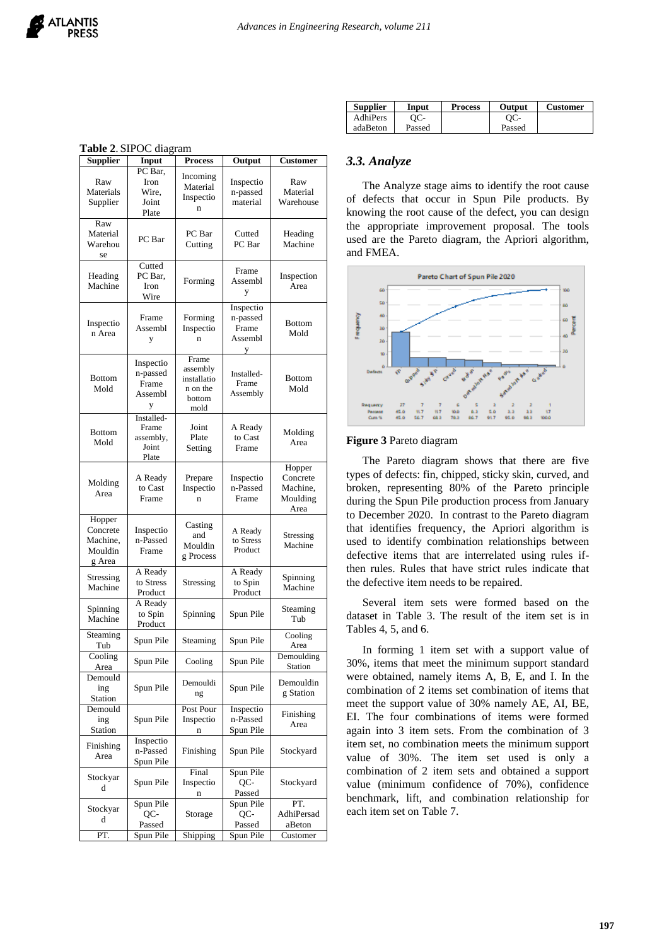| <b>Supplier</b>                                     | Input                                              | Process                                                        | Output                                         | <b>Customer</b>                                    |  |
|-----------------------------------------------------|----------------------------------------------------|----------------------------------------------------------------|------------------------------------------------|----------------------------------------------------|--|
| Raw<br>Materials<br>Supplier                        | PC Bar,<br>Iron<br>Wire,<br>Joint<br>Plate         | Incoming<br>Material<br>Inspectio<br>n                         | Inspectio<br>n-passed<br>material              | Raw<br>Material<br>Warehouse                       |  |
| Raw<br>Material<br>Warehou<br>se                    | PC Bar                                             | PC Bar<br>Cutting                                              | Cutted<br>PC Bar                               | Heading<br>Machine                                 |  |
| Heading<br>Machine                                  | Cutted<br>PC Bar,<br>Iron<br>Wire                  | Forming                                                        | Frame<br>Assembl<br>y                          | Inspection<br>Area                                 |  |
| Inspectio<br>n Area                                 | Frame<br>Assembl<br>y                              | Forming<br>Inspectio<br>n                                      | Inspectio<br>n-passed<br>Frame<br>Assembl<br>у | <b>Bottom</b><br>Mold                              |  |
| <b>Bottom</b><br>Mold                               | Inspectio<br>n-passed<br>Frame<br>Assembl<br>у     | Frame<br>assembly<br>installatio<br>n on the<br>bottom<br>mold | Installed-<br>Frame<br>Assembly                | <b>Bottom</b><br>Mold                              |  |
| <b>Bottom</b><br>Mold                               | Installed-<br>Frame<br>assembly,<br>Joint<br>Plate | Joint<br>Plate<br>Setting                                      | A Ready<br>to Cast<br>Frame                    | Molding<br>Area                                    |  |
| Molding<br>Area                                     | A Ready<br>to Cast<br>Frame                        | Prepare<br>Inspectio<br>n                                      | Inspectio<br>n-Passed<br>Frame                 | Hopper<br>Concrete<br>Machine,<br>Moulding<br>Area |  |
| Hopper<br>Concrete<br>Machine,<br>Mouldin<br>g Area | Inspectio<br>n-Passed<br>Frame                     | Casting<br>and<br>Mouldin<br>g Process                         | A Ready<br>to Stress<br>Product                | Stressing<br>Machine                               |  |
| Stressing<br>Machine                                | A Ready<br>to Stress<br>Product                    | Stressing                                                      | A Ready<br>to Spin<br>Product                  | Spinning<br>Machine                                |  |
| Spinning<br>Machine                                 | A Ready<br>to Spin<br>Product                      | Spinning                                                       | Spun Pile                                      | Steaming<br>Tub                                    |  |
| Steaming<br>Tub                                     | Spun Pile                                          | Steaming                                                       | Spun Pile                                      | Cooling<br>Area                                    |  |
| Cooling<br>Area                                     | Spun Pile                                          | Cooling                                                        | Spun Pile                                      | Demoulding<br>Station                              |  |
| Demould<br>ing<br>Station                           | Spun Pile                                          | Demouldi<br>ng                                                 | Spun Pile                                      | Demouldin<br>g Station                             |  |
| Demould<br>ing<br>Station                           | Spun Pile                                          | Post Pour<br>Inspectio<br>n                                    | Inspectio<br>n-Passed<br>Spun Pile             | Finishing<br>Area                                  |  |
| Finishing<br>Area                                   | Inspectio<br>n-Passed<br>Spun Pile                 | Finishing                                                      | Spun Pile                                      | Stockyard                                          |  |
| Stockyar<br>d                                       | Spun Pile                                          | Final<br>Inspectio<br>n                                        | Spun Pile<br>QC-<br>Passed                     | Stockyard                                          |  |
| Stockyar<br>d                                       | Spun Pile<br>QC-<br>Passed                         | Storage                                                        | Spun Pile<br>QC-<br>Passed                     | PT.<br>AdhiPersad<br>aBeton                        |  |
| PT.                                                 | Spun Pile                                          | Shipping                                                       | Spun Pile                                      | Customer                                           |  |

|  |  | Table 2. SIPOC diagram |
|--|--|------------------------|
|--|--|------------------------|

| <b>Supplier</b> | Input  | <b>Process</b> | <b>Output</b> | <b>Customer</b> |
|-----------------|--------|----------------|---------------|-----------------|
| AdhiPers        | ЭС-    |                | $OC-$         |                 |
| adaBeton        | Passed |                | Passed        |                 |

## *3.3. Analyze*

The Analyze stage aims to identify the root cause of defects that occur in Spun Pile products. By knowing the root cause of the defect, you can design the appropriate improvement proposal. The tools used are the Pareto diagram, the Apriori algorithm, and FMEA.



#### **Figure 3** Pareto diagram

The Pareto diagram shows that there are five types of defects: fin, chipped, sticky skin, curved, and broken, representing 80% of the Pareto principle during the Spun Pile production process from January to December 2020. In contrast to the Pareto diagram that identifies frequency, the Apriori algorithm is used to identify combination relationships between defective items that are interrelated using rules ifthen rules. Rules that have strict rules indicate that the defective item needs to be repaired.

Several item sets were formed based on the dataset in Table 3. The result of the item set is in Tables 4, 5, and 6.

In forming 1 item set with a support value of 30%, items that meet the minimum support standard were obtained, namely items A, B, E, and I. In the combination of 2 items set combination of items that meet the support value of 30% namely AE, AI, BE, EI. The four combinations of items were formed again into 3 item sets. From the combination of 3 item set, no combination meets the minimum support value of 30%. The item set used is only a combination of 2 item sets and obtained a support value (minimum confidence of 70%), confidence benchmark, lift, and combination relationship for each item set on Table 7.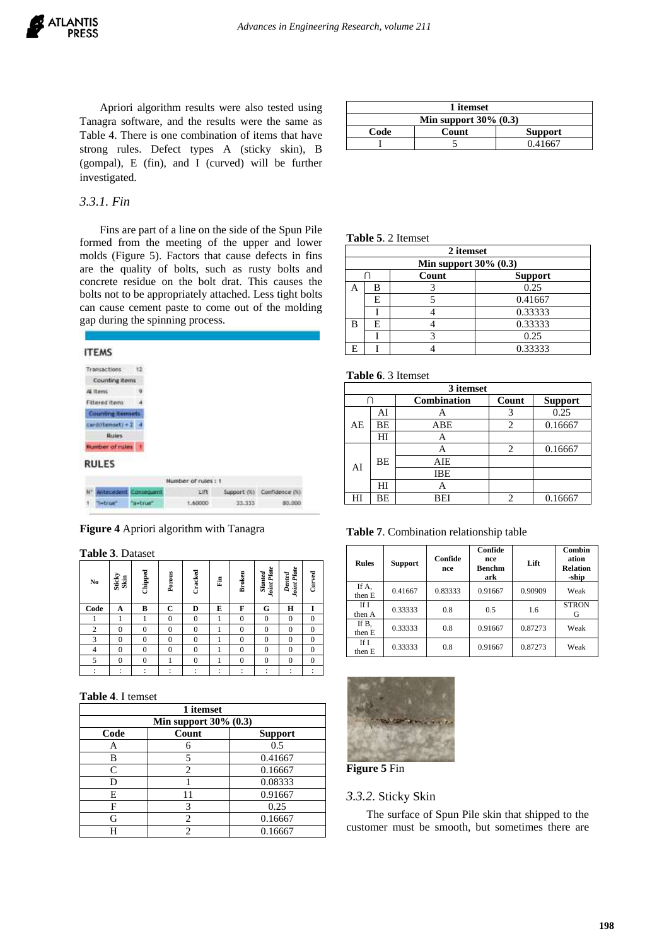Apriori algorithm results were also tested using Tanagra software, and the results were the same as Table 4. There is one combination of items that have strong rules. Defect types A (sticky skin), B (gompal), E (fin), and I (curved) will be further investigated.

| 1 itemset |                          |                |  |  |  |  |
|-----------|--------------------------|----------------|--|--|--|--|
|           | Min support $30\%$ (0.3) |                |  |  |  |  |
| Code      | Count                    | <b>Support</b> |  |  |  |  |
|           |                          | 0.41667        |  |  |  |  |
|           |                          |                |  |  |  |  |

## *3.3.1. Fin*

Fins are part of a line on the side of the Spun Pile formed from the meeting of the upper and lower molds (Figure 5). Factors that cause defects in fins are the quality of bolts, such as rusty bolts and concrete residue on the bolt drat. This causes the bolts not to be appropriately attached. Less tight bolts can cause cement paste to come out of the molding gap during the spinning process.

| <b>ITEMS</b>             |                   |                     |        |                            |
|--------------------------|-------------------|---------------------|--------|----------------------------|
| Transactions             | $+2$              |                     |        |                            |
| <b>Counting items</b>    |                   |                     |        |                            |
| AE items                 |                   |                     |        |                            |
| Filtered items:          |                   |                     |        |                            |
| <b>Counting itemsets</b> |                   |                     |        |                            |
| card(itemset) + 2        |                   |                     |        |                            |
| <b>Rules</b>             |                   |                     |        |                            |
| <b>Number of rules</b>   |                   |                     |        |                            |
| <b>RULES</b>             |                   |                     |        |                            |
|                          |                   | Number of rules : 1 |        |                            |
| <b>Intecedent</b>        | <b>Somediagnt</b> | 王郎                  |        | Support (%) Confidence (%) |
| 'i=true'                 | a-trum            | 1,60000             | 33.333 | 80.000                     |

**Figure 4** Apriori algorithm with Tanagra

**Table 3**. Dataset

| $\mathbf{N}\mathbf{o}$ | Sticky<br>Skin | Chipped        | Porous         | Cracked      | 튑 | <b>Broken</b>  | <b>Joint Plate</b><br><b>Slanted</b> | Joint Plate<br>Dented | Curved         |
|------------------------|----------------|----------------|----------------|--------------|---|----------------|--------------------------------------|-----------------------|----------------|
| Code                   | A              | B              | $\mathbf C$    | D            | E | F              | G                                    | Н                     | 1              |
|                        |                |                | $\overline{0}$ | $\mathbf{0}$ |   | $\overline{0}$ | $\mathbf{0}$                         | $\theta$              | $\overline{0}$ |
| $\overline{2}$         | $\theta$       | 0              | $\theta$       | $\Omega$     |   | $\bf{0}$       | $\mathbf{0}$                         | $\Omega$              | $\mathbf{0}$   |
| 3                      | $\theta$       | $\theta$       | $\mathbf{0}$   | $\theta$     |   | $\Omega$       | $\Omega$                             | $\theta$              | $\overline{0}$ |
| $\overline{4}$         | $\theta$       | $\overline{0}$ | $\mathbf{0}$   | $\theta$     |   | $\bf{0}$       | $\mathbf{0}$                         | $\theta$              | $\overline{0}$ |
| 5                      | $\mathbf{0}$   | $\overline{0}$ |                | $\mathbf{0}$ |   | $\bf{0}$       | $\mathbf{0}$                         | $\mathbf{0}$          | $\overline{0}$ |
|                        |                |                |                |              | ٠ |                | ÷                                    | ×.                    |                |

#### **Table 4**. I temset

| 1 itemset                  |                             |                |  |  |  |  |
|----------------------------|-----------------------------|----------------|--|--|--|--|
| Min support $30\%$ $(0.3)$ |                             |                |  |  |  |  |
| Code                       | Count                       | <b>Support</b> |  |  |  |  |
| Α                          |                             | 0.5            |  |  |  |  |
| В                          |                             | 0.41667        |  |  |  |  |
| C                          | $\mathcal{D}_{\mathcal{A}}$ | 0.16667        |  |  |  |  |
| D                          |                             | 0.08333        |  |  |  |  |
| E                          | 11                          | 0.91667        |  |  |  |  |
| F                          | 3                           | 0.25           |  |  |  |  |
| G                          | 2                           | 0.16667        |  |  |  |  |
|                            |                             | 0.16667        |  |  |  |  |

## **Table 5**. 2 Itemset

|   | 2 itemset                  |       |                |  |  |  |  |
|---|----------------------------|-------|----------------|--|--|--|--|
|   | Min support $30\%$ $(0.3)$ |       |                |  |  |  |  |
|   |                            | Count | <b>Support</b> |  |  |  |  |
|   | в                          |       | 0.25           |  |  |  |  |
|   | E                          |       | 0.41667        |  |  |  |  |
|   |                            |       | 0.33333        |  |  |  |  |
| В | E                          |       | 0.33333        |  |  |  |  |
|   |                            |       | 0.25           |  |  |  |  |
|   |                            |       | 0.33333        |  |  |  |  |

## **Table 6**. 3 Itemset

| 3 itemset |    |                    |       |                |  |  |  |
|-----------|----|--------------------|-------|----------------|--|--|--|
|           |    | <b>Combination</b> | Count | <b>Support</b> |  |  |  |
| AE        | AI |                    |       | 0.25           |  |  |  |
|           | BЕ | ABE                | 2     | 0.16667        |  |  |  |
|           | HI | Α                  |       |                |  |  |  |
|           | ВE |                    | 2     | 0.16667        |  |  |  |
| AI        |    | AIE                |       |                |  |  |  |
|           |    | IBE                |       |                |  |  |  |
|           | HI |                    |       |                |  |  |  |
| ΗΙ        | ВE | BEI                | 2     | 0.16667        |  |  |  |

**Table 7**. Combination relationship table

| <b>Rules</b>    | <b>Support</b> | Confide<br>nce | Confide<br>nce<br><b>Benchm</b><br>ark | Lift    | Combin<br>ation<br><b>Relation</b><br>-ship |
|-----------------|----------------|----------------|----------------------------------------|---------|---------------------------------------------|
| If A,<br>then E | 0.41667        | 0.83333        | 0.91667                                | 0.90909 | Weak                                        |
| If I<br>then A  | 0.33333        | 0.8            | 0.5                                    | 1.6     | <b>STRON</b><br>G                           |
| If B,<br>then E | 0.33333        | 0.8            | 0.91667                                | 0.87273 | Weak                                        |
| If I<br>then E  | 0.33333        | 0.8            | 0.91667                                | 0.87273 | Weak                                        |



**Figure 5** Fin

#### *3.3.2*. Sticky Skin

The surface of Spun Pile skin that shipped to the customer must be smooth, but sometimes there are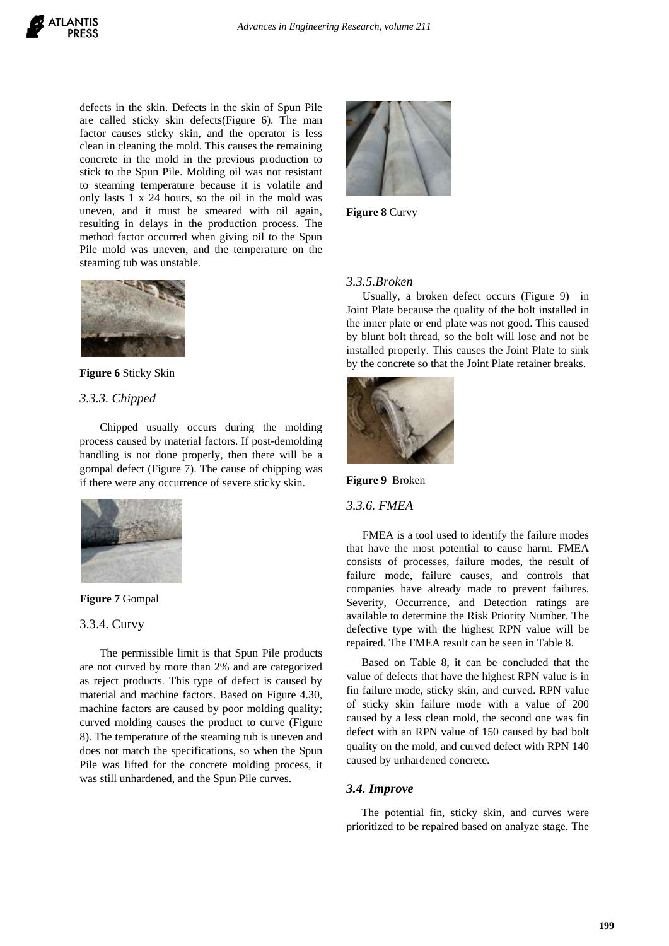defects in the skin. Defects in the skin of Spun Pile are called sticky skin defects(Figure 6). The man factor causes sticky skin, and the operator is less clean in cleaning the mold. This causes the remaining concrete in the mold in the previous production to stick to the Spun Pile. Molding oil was not resistant to steaming temperature because it is volatile and only lasts 1 x 24 hours, so the oil in the mold was uneven, and it must be smeared with oil again, resulting in delays in the production process. The method factor occurred when giving oil to the Spun Pile mold was uneven, and the temperature on the steaming tub was unstable.





## *3.3.3. Chipped*

Chipped usually occurs during the molding process caused by material factors. If post-demolding handling is not done properly, then there will be a gompal defect (Figure 7). The cause of chipping was if there were any occurrence of severe sticky skin.





#### 3.3.4. Curvy

The permissible limit is that Spun Pile products are not curved by more than 2% and are categorized as reject products. This type of defect is caused by material and machine factors. Based on Figure 4.30, machine factors are caused by poor molding quality; curved molding causes the product to curve (Figure 8). The temperature of the steaming tub is uneven and does not match the specifications, so when the Spun Pile was lifted for the concrete molding process, it was still unhardened, and the Spun Pile curves.



**Figure 8** Curvy

## *3.3.5.Broken*

Usually, a broken defect occurs (Figure 9) in Joint Plate because the quality of the bolt installed in the inner plate or end plate was not good. This caused by blunt bolt thread, so the bolt will lose and not be installed properly. This causes the Joint Plate to sink by the concrete so that the Joint Plate retainer breaks.



**Figure 9** Broken

#### *3.3.6. FMEA*

FMEA is a tool used to identify the failure modes that have the most potential to cause harm. FMEA consists of processes, failure modes, the result of failure mode, failure causes, and controls that companies have already made to prevent failures. Severity, Occurrence, and Detection ratings are available to determine the Risk Priority Number. The defective type with the highest RPN value will be repaired. The FMEA result can be seen in Table 8.

Based on Table 8, it can be concluded that the value of defects that have the highest RPN value is in fin failure mode, sticky skin, and curved. RPN value of sticky skin failure mode with a value of 200 caused by a less clean mold, the second one was fin defect with an RPN value of 150 caused by bad bolt quality on the mold, and curved defect with RPN 140 caused by unhardened concrete.

#### *3.4. Improve*

The potential fin, sticky skin, and curves were prioritized to be repaired based on analyze stage. The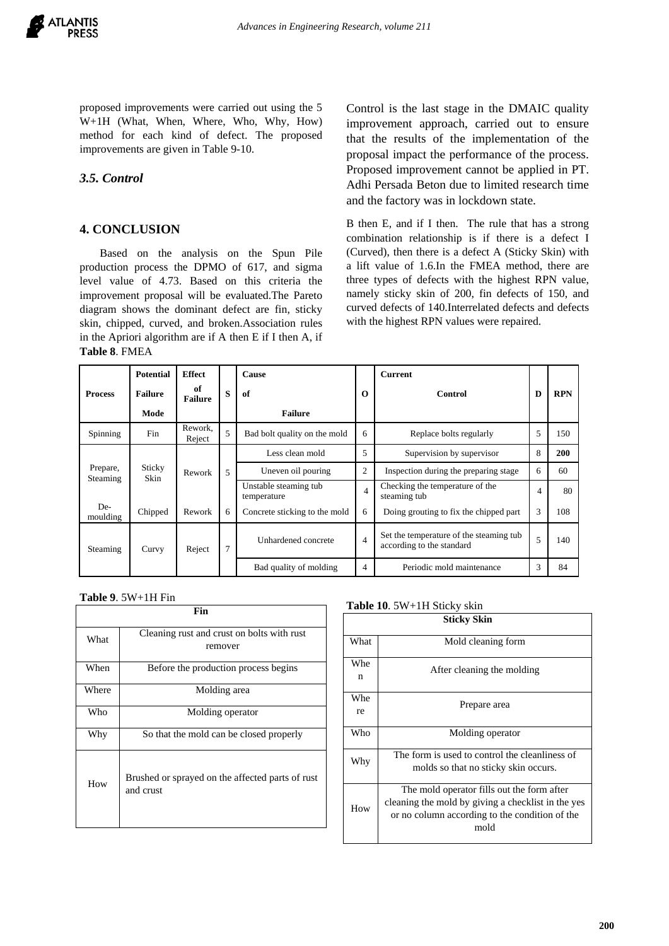proposed improvements were carried out using the 5 W+1H (What, When, Where, Who, Why, How) method for each kind of defect. The proposed improvements are given in Table 9-10.

# *3.5. Control*

## **4. CONCLUSION**

Based on the analysis on the Spun Pile production process the DPMO of 617, and sigma level value of 4.73. Based on this criteria the improvement proposal will be evaluated.The Pareto diagram shows the dominant defect are fin, sticky skin, chipped, curved, and broken.Association rules in the Apriori algorithm are if A then E if I then A, if **Table 8**. FMEA

Control is the last stage in the DMAIC quality improvement approach, carried out to ensure that the results of the implementation of the proposal impact the performance of the process. Proposed improvement cannot be applied in PT. Adhi Persada Beton due to limited research time and the factory was in lockdown state.

B then E, and if I then. The rule that has a strong combination relationship is if there is a defect I (Curved), then there is a defect A (Sticky Skin) with a lift value of 1.6.In the FMEA method, there are three types of defects with the highest RPN value, namely sticky skin of 200, fin defects of 150, and curved defects of 140.Interrelated defects and defects with the highest RPN values were repaired.

|                 | <b>Potential</b> | <b>Effect</b>        |         | Cause                                |                          | <b>Current</b>                                                       |   |            |
|-----------------|------------------|----------------------|---------|--------------------------------------|--------------------------|----------------------------------------------------------------------|---|------------|
| <b>Process</b>  | <b>Failure</b>   | of<br><b>Failure</b> | $\bf s$ | of                                   | $\Omega$                 | Control                                                              | D | <b>RPN</b> |
|                 | Mode             |                      |         | <b>Failure</b>                       |                          |                                                                      |   |            |
| Spinning        | <b>Fin</b>       | Rework.<br>Reject    | 5       | Bad bolt quality on the mold         | 6                        | Replace bolts regularly                                              | 5 | 150        |
|                 |                  |                      |         | Less clean mold                      | 5                        | Supervision by supervisor                                            | 8 | <b>200</b> |
| Prepare,        | Sticky<br>Skin   | Rework               | 5       | Uneven oil pouring                   | $\overline{2}$           | Inspection during the preparing stage                                | 6 | 60         |
| Steaming        |                  |                      |         | Unstable steaming tub<br>temperature | $\overline{\mathcal{A}}$ | Checking the temperature of the<br>steaming tub                      | 4 | 80         |
| De-<br>moulding | Chipped          | Rework               | 6       | Concrete sticking to the mold        | 6                        | Doing grouting to fix the chipped part                               | 3 | 108        |
| Steaming        | Curvy            | Reject               | 7       | Unhardened concrete                  | $\overline{4}$           | Set the temperature of the steaming tub<br>according to the standard | 5 | 140        |
|                 |                  |                      |         | Bad quality of molding               | 4                        | Periodic mold maintenance                                            | 3 | 84         |

**Table 9**. 5W+1H Fin

| Fin   |                                                               |
|-------|---------------------------------------------------------------|
| What  | Cleaning rust and crust on bolts with rust                    |
|       | remover                                                       |
| When  | Before the production process begins                          |
| Where | Molding area                                                  |
| Who   | Molding operator                                              |
| Why   | So that the mold can be closed properly                       |
| How   | Brushed or sprayed on the affected parts of rust<br>and crust |

#### **Table 10**. 5W+1H Sticky skin

| <b>Sticky Skin</b> |                                                                                                                                                            |  |
|--------------------|------------------------------------------------------------------------------------------------------------------------------------------------------------|--|
| What               | Mold cleaning form                                                                                                                                         |  |
| Whe<br>n           | After cleaning the molding                                                                                                                                 |  |
| Whe<br>re          | Prepare area                                                                                                                                               |  |
| Who                | Molding operator                                                                                                                                           |  |
| Why                | The form is used to control the cleanliness of<br>molds so that no sticky skin occurs.                                                                     |  |
| How                | The mold operator fills out the form after<br>cleaning the mold by giving a checklist in the yes<br>or no column according to the condition of the<br>mold |  |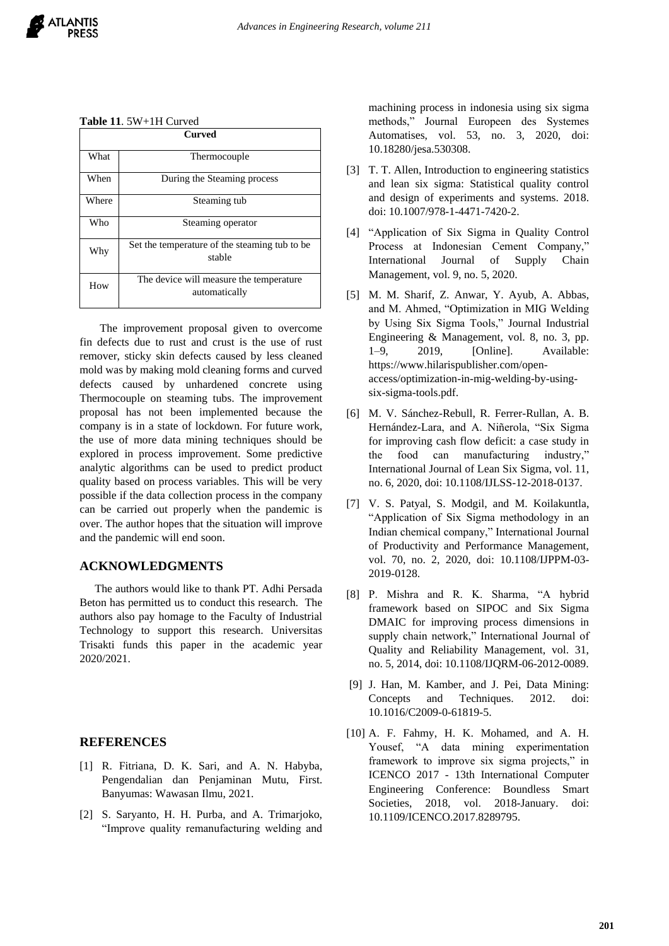#### **Table 11**. 5W+1H Curved

| <b>Curved</b> |                                                          |
|---------------|----------------------------------------------------------|
| What          | Thermocouple                                             |
| When          | During the Steaming process                              |
| Where         | Steaming tub                                             |
| Who           | Steaming operator                                        |
| Why           | Set the temperature of the steaming tub to be<br>stable  |
| How           | The device will measure the temperature<br>automatically |

The improvement proposal given to overcome fin defects due to rust and crust is the use of rust remover, sticky skin defects caused by less cleaned mold was by making mold cleaning forms and curved defects caused by unhardened concrete using Thermocouple on steaming tubs. The improvement proposal has not been implemented because the company is in a state of lockdown. For future work, the use of more data mining techniques should be explored in process improvement. Some predictive analytic algorithms can be used to predict product quality based on process variables. This will be very possible if the data collection process in the company can be carried out properly when the pandemic is over. The author hopes that the situation will improve and the pandemic will end soon.

# **ACKNOWLEDGMENTS**

The authors would like to thank PT. Adhi Persada Beton has permitted us to conduct this research. The authors also pay homage to the Faculty of Industrial Technology to support this research. Universitas Trisakti funds this paper in the academic year 2020/2021.

## **REFERENCES**

- [1] R. Fitriana, D. K. Sari, and A. N. Habyba, Pengendalian dan Penjaminan Mutu, First. Banyumas: Wawasan Ilmu, 2021.
- [2] S. Saryanto, H. H. Purba, and A. Trimarjoko, "Improve quality remanufacturing welding and

machining process in indonesia using six sigma methods," Journal Europeen des Systemes Automatises, vol. 53, no. 3, 2020, doi: 10.18280/jesa.530308.

- [3] T. T. Allen, Introduction to engineering statistics and lean six sigma: Statistical quality control and design of experiments and systems. 2018. doi: 10.1007/978-1-4471-7420-2.
- [4] "Application of Six Sigma in Quality Control Process at Indonesian Cement Company," International Journal of Supply Chain Management, vol. 9, no. 5, 2020.
- [5] M. M. Sharif, Z. Anwar, Y. Ayub, A. Abbas, and M. Ahmed, "Optimization in MIG Welding by Using Six Sigma Tools," Journal Industrial Engineering & Management, vol. 8, no. 3, pp. 1–9, 2019, [Online]. Available: https://www.hilarispublisher.com/openaccess/optimization-in-mig-welding-by-usingsix-sigma-tools.pdf.
- [6] M. V. Sánchez-Rebull, R. Ferrer-Rullan, A. B. Hernández-Lara, and A. Niñerola, "Six Sigma for improving cash flow deficit: a case study in the food can manufacturing industry," International Journal of Lean Six Sigma, vol. 11, no. 6, 2020, doi: 10.1108/IJLSS-12-2018-0137.
- [7] V. S. Patyal, S. Modgil, and M. Koilakuntla, "Application of Six Sigma methodology in an Indian chemical company," International Journal of Productivity and Performance Management, vol. 70, no. 2, 2020, doi: 10.1108/IJPPM-03- 2019-0128.
- [8] P. Mishra and R. K. Sharma, "A hybrid framework based on SIPOC and Six Sigma DMAIC for improving process dimensions in supply chain network," International Journal of Quality and Reliability Management, vol. 31, no. 5, 2014, doi: 10.1108/IJQRM-06-2012-0089.
- [9] J. Han, M. Kamber, and J. Pei, Data Mining: Concepts and Techniques. 2012. doi: 10.1016/C2009-0-61819-5.
- [10] A. F. Fahmy, H. K. Mohamed, and A. H. Yousef, "A data mining experimentation framework to improve six sigma projects," in ICENCO 2017 - 13th International Computer Engineering Conference: Boundless Smart Societies, 2018, vol. 2018-January. doi: 10.1109/ICENCO.2017.8289795.